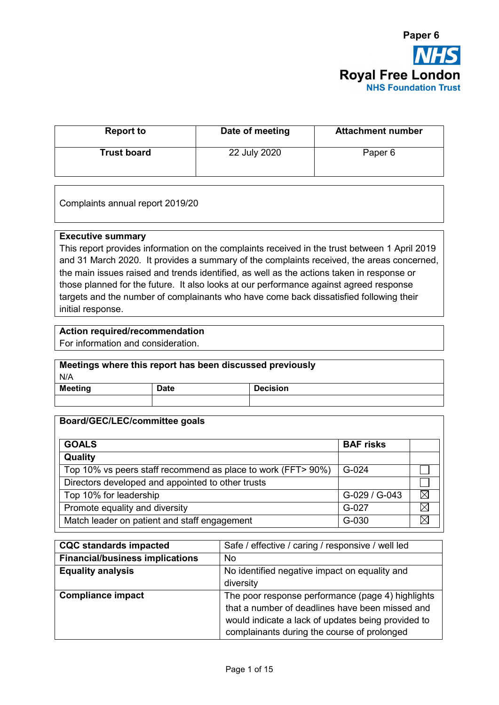

| <b>Report to</b>   | Date of meeting | <b>Attachment number</b> |
|--------------------|-----------------|--------------------------|
| <b>Trust board</b> | 22 July 2020    | Paper 6                  |

Complaints annual report 2019/20

#### **Executive summary**

This report provides information on the complaints received in the trust between 1 April 2019 and 31 March 2020. It provides a summary of the complaints received, the areas concerned, the main issues raised and trends identified, as well as the actions taken in response or those planned for the future. It also looks at our performance against agreed response targets and the number of complainants who have come back dissatisfied following their initial response.

#### **Action required/recommendation**

For information and consideration.

# **Meetings where this report has been discussed previously**  N/A

| <b>Meeting</b> | <b>Date</b> | ecision<br>. . |
|----------------|-------------|----------------|
|                |             |                |

#### **Board/GEC/LEC/committee goals**

| <b>GOALS</b>                                                 | <b>BAF</b> risks |   |
|--------------------------------------------------------------|------------------|---|
| Quality                                                      |                  |   |
| Top 10% vs peers staff recommend as place to work (FFT> 90%) | G-024            |   |
| Directors developed and appointed to other trusts            |                  |   |
| Top 10% for leadership                                       | G-029 / G-043    | ⋈ |
| Promote equality and diversity                               | G-027            |   |
| Match leader on patient and staff engagement                 | G-030            |   |

| <b>CQC standards impacted</b>          | Safe / effective / caring / responsive / well led  |
|----------------------------------------|----------------------------------------------------|
| <b>Financial/business implications</b> | No.                                                |
| <b>Equality analysis</b>               | No identified negative impact on equality and      |
|                                        | diversity                                          |
| <b>Compliance impact</b>               | The poor response performance (page 4) highlights  |
|                                        | that a number of deadlines have been missed and    |
|                                        | would indicate a lack of updates being provided to |
|                                        | complainants during the course of prolonged        |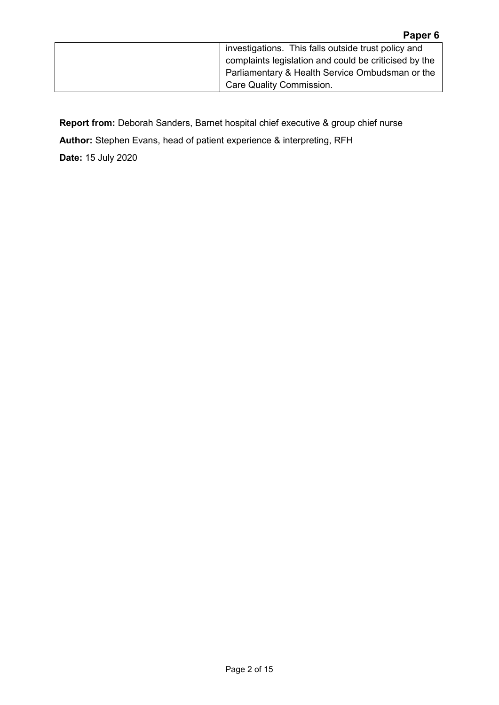| investigations. This falls outside trust policy and   |
|-------------------------------------------------------|
| complaints legislation and could be criticised by the |
| Parliamentary & Health Service Ombudsman or the       |
| Care Quality Commission.                              |

**Report from:** Deborah Sanders, Barnet hospital chief executive & group chief nurse

**Author:** Stephen Evans, head of patient experience & interpreting, RFH

**Date:** 15 July 2020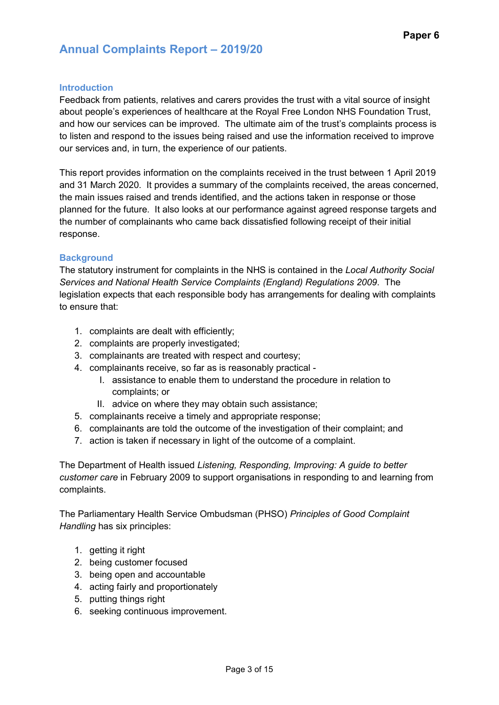### **Introduction**

Feedback from patients, relatives and carers provides the trust with a vital source of insight about people's experiences of healthcare at the Royal Free London NHS Foundation Trust, and how our services can be improved. The ultimate aim of the trust's complaints process is to listen and respond to the issues being raised and use the information received to improve our services and, in turn, the experience of our patients.

This report provides information on the complaints received in the trust between 1 April 2019 and 31 March 2020. It provides a summary of the complaints received, the areas concerned, the main issues raised and trends identified, and the actions taken in response or those planned for the future. It also looks at our performance against agreed response targets and the number of complainants who came back dissatisfied following receipt of their initial response.

#### **Background**

The statutory instrument for complaints in the NHS is contained in the *Local Authority Social Services and National Health Service Complaints (England) Regulations 2009*. The legislation expects that each responsible body has arrangements for dealing with complaints to ensure that:

- 1. complaints are dealt with efficiently;
- 2. complaints are properly investigated;
- 3. complainants are treated with respect and courtesy;
- 4. complainants receive, so far as is reasonably practical
	- I. assistance to enable them to understand the procedure in relation to complaints; or
	- II. advice on where they may obtain such assistance;
- 5. complainants receive a timely and appropriate response;
- 6. complainants are told the outcome of the investigation of their complaint; and
- 7. action is taken if necessary in light of the outcome of a complaint.

The Department of Health issued *Listening, Responding, Improving: A guide to better customer care* in February 2009 to support organisations in responding to and learning from complaints.

The Parliamentary Health Service Ombudsman (PHSO) *Principles of Good Complaint Handling* has six principles:

- 1. getting it right
- 2. being customer focused
- 3. being open and accountable
- 4. acting fairly and proportionately
- 5. putting things right
- 6. seeking continuous improvement.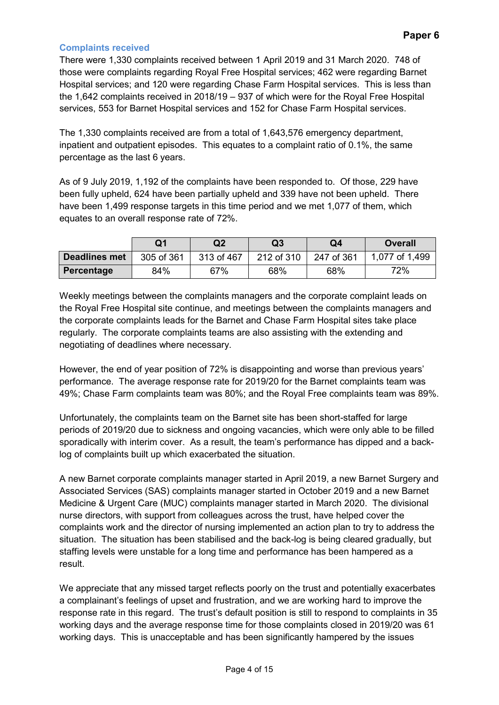### **Complaints received**

There were 1,330 complaints received between 1 April 2019 and 31 March 2020. 748 of those were complaints regarding Royal Free Hospital services; 462 were regarding Barnet Hospital services; and 120 were regarding Chase Farm Hospital services. This is less than the 1,642 complaints received in 2018/19 – 937 of which were for the Royal Free Hospital services, 553 for Barnet Hospital services and 152 for Chase Farm Hospital services.

The 1,330 complaints received are from a total of 1,643,576 emergency department, inpatient and outpatient episodes. This equates to a complaint ratio of 0.1%, the same percentage as the last 6 years.

As of 9 July 2019, 1,192 of the complaints have been responded to. Of those, 229 have been fully upheld, 624 have been partially upheld and 339 have not been upheld. There have been 1,499 response targets in this time period and we met 1,077 of them, which equates to an overall response rate of 72%.

|                      | Q1         | Q2         | Q3         | Q4         | <b>Overall</b> |  |  |  |
|----------------------|------------|------------|------------|------------|----------------|--|--|--|
| <b>Deadlines met</b> | 305 of 361 | 313 of 467 | 212 of 310 | 247 of 361 | 1,077 of 1,499 |  |  |  |
| <b>Percentage</b>    | 84%        | 67%        | 68%        | 68%        | 72%            |  |  |  |

Weekly meetings between the complaints managers and the corporate complaint leads on the Royal Free Hospital site continue, and meetings between the complaints managers and the corporate complaints leads for the Barnet and Chase Farm Hospital sites take place regularly. The corporate complaints teams are also assisting with the extending and negotiating of deadlines where necessary.

However, the end of year position of 72% is disappointing and worse than previous years' performance. The average response rate for 2019/20 for the Barnet complaints team was 49%; Chase Farm complaints team was 80%; and the Royal Free complaints team was 89%.

Unfortunately, the complaints team on the Barnet site has been short-staffed for large periods of 2019/20 due to sickness and ongoing vacancies, which were only able to be filled sporadically with interim cover. As a result, the team's performance has dipped and a backlog of complaints built up which exacerbated the situation.

A new Barnet corporate complaints manager started in April 2019, a new Barnet Surgery and Associated Services (SAS) complaints manager started in October 2019 and a new Barnet Medicine & Urgent Care (MUC) complaints manager started in March 2020. The divisional nurse directors, with support from colleagues across the trust, have helped cover the complaints work and the director of nursing implemented an action plan to try to address the situation. The situation has been stabilised and the back-log is being cleared gradually, but staffing levels were unstable for a long time and performance has been hampered as a result.

We appreciate that any missed target reflects poorly on the trust and potentially exacerbates a complainant's feelings of upset and frustration, and we are working hard to improve the response rate in this regard. The trust's default position is still to respond to complaints in 35 working days and the average response time for those complaints closed in 2019/20 was 61 working days. This is unacceptable and has been significantly hampered by the issues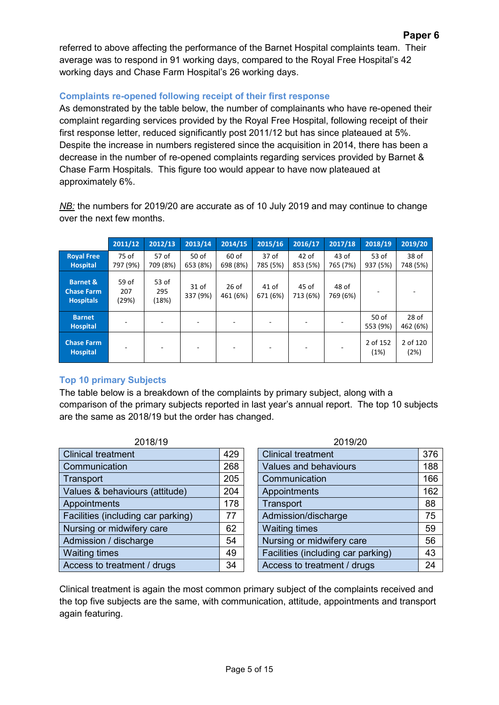referred to above affecting the performance of the Barnet Hospital complaints team. Their average was to respond in 91 working days, compared to the Royal Free Hospital's 42 working days and Chase Farm Hospital's 26 working days.

# **Complaints re-opened following receipt of their first response**

As demonstrated by the table below, the number of complainants who have re-opened their complaint regarding services provided by the Royal Free Hospital, following receipt of their first response letter, reduced significantly post 2011/12 but has since plateaued at 5%. Despite the increase in numbers registered since the acquisition in 2014, there has been a decrease in the number of re-opened complaints regarding services provided by Barnet & Chase Farm Hospitals. This figure too would appear to have now plateaued at approximately 6%.

*NB:* the numbers for 2019/20 are accurate as of 10 July 2019 and may continue to change over the next few months.

|                                                              | 2011/12               | 2012/13               | 2013/14                      | 2014/15             | 2015/16                      | 2016/17             | 2017/18             | 2018/19             | 2019/20             |  |
|--------------------------------------------------------------|-----------------------|-----------------------|------------------------------|---------------------|------------------------------|---------------------|---------------------|---------------------|---------------------|--|
| <b>Royal Free</b><br><b>Hospital</b>                         | 75 of<br>797 (9%)     | 57 of<br>709 (8%)     | 50 <sub>of</sub><br>653 (8%) | $60$ of<br>698 (8%) | 37 <sub>of</sub><br>785 (5%) | $42$ of<br>853 (5%) | $43$ of<br>765 (7%) | $53$ of<br>937 (5%) | 38 of<br>748 (5%)   |  |
| <b>Barnet &amp;</b><br><b>Chase Farm</b><br><b>Hospitals</b> | 59 of<br>207<br>(29%) | 53 of<br>295<br>(18%) | 31 of<br>337 (9%)            | $26$ of<br>461 (6%) | $41$ of<br>671 (6%)          | 45 of<br>713 (6%)   | 48 of<br>769 (6%)   |                     |                     |  |
| <b>Barnet</b><br><b>Hospital</b>                             |                       |                       |                              |                     | -                            |                     |                     | 50 of<br>553 (9%)   | $28$ of<br>462 (6%) |  |
| <b>Chase Farm</b><br><b>Hospital</b>                         |                       |                       |                              |                     |                              |                     |                     | 2 of 152<br>(1%)    | 2 of 120<br>(2%)    |  |

# **Top 10 primary Subjects**

The table below is a breakdown of the complaints by primary subject, along with a comparison of the primary subjects reported in last year's annual report. The top 10 subjects are the same as 2018/19 but the order has changed.

| 2018/19                            |     | <b>2019/20</b>                     |     |
|------------------------------------|-----|------------------------------------|-----|
| <b>Clinical treatment</b>          | 429 | <b>Clinical treatment</b>          | 376 |
| Communication                      | 268 | Values and behaviours              | 188 |
| Transport                          | 205 | Communication                      | 166 |
| Values & behaviours (attitude)     | 204 | Appointments                       | 162 |
| Appointments                       | 178 | Transport                          | 88  |
| Facilities (including car parking) | 77  | Admission/discharge                | 75  |
| Nursing or midwifery care          | 62  | <b>Waiting times</b>               | 59  |
| Admission / discharge              | 54  | Nursing or midwifery care          | 56  |
| <b>Waiting times</b>               | 49  | Facilities (including car parking) | 43  |
| Access to treatment / drugs        | 34  | Access to treatment / drugs        | 24  |
|                                    |     |                                    |     |

| 2018/19        |     | 2019/20                            |     |  |
|----------------|-----|------------------------------------|-----|--|
|                | 429 | <b>Clinical treatment</b>          | 376 |  |
|                | 268 | Values and behaviours              | 188 |  |
|                | 205 | Communication                      | 166 |  |
| urs (attitude) | 204 | Appointments                       | 162 |  |
|                | 178 | Transport                          | 88  |  |
| g car parking) | 77  | Admission/discharge                | 75  |  |
| ery care       | 62  | <b>Waiting times</b>               | 59  |  |
| arge           | 54  | Nursing or midwifery care          | 56  |  |
|                | 49  | Facilities (including car parking) | 43  |  |
| ent / drugs    | 34  | Access to treatment / drugs        | 24  |  |

Clinical treatment is again the most common primary subject of the complaints received and the top five subjects are the same, with communication, attitude, appointments and transport again featuring.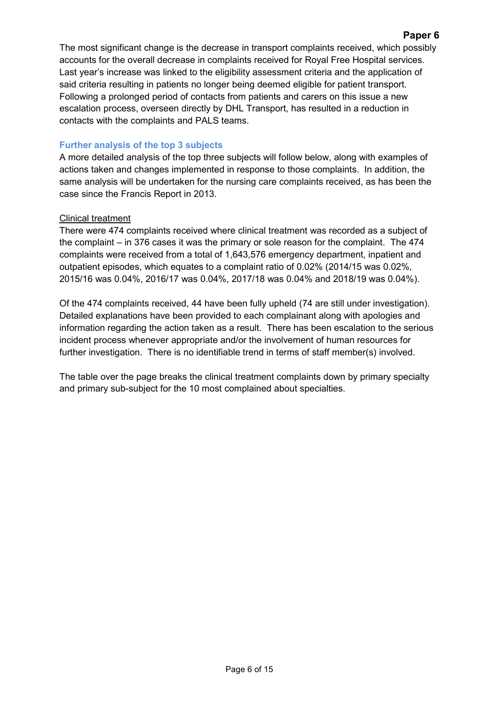The most significant change is the decrease in transport complaints received, which possibly accounts for the overall decrease in complaints received for Royal Free Hospital services. Last year's increase was linked to the eligibility assessment criteria and the application of said criteria resulting in patients no longer being deemed eligible for patient transport. Following a prolonged period of contacts from patients and carers on this issue a new escalation process, overseen directly by DHL Transport, has resulted in a reduction in contacts with the complaints and PALS teams.

### **Further analysis of the top 3 subjects**

A more detailed analysis of the top three subjects will follow below, along with examples of actions taken and changes implemented in response to those complaints. In addition, the same analysis will be undertaken for the nursing care complaints received, as has been the case since the Francis Report in 2013.

### Clinical treatment

There were 474 complaints received where clinical treatment was recorded as a subject of the complaint – in 376 cases it was the primary or sole reason for the complaint. The 474 complaints were received from a total of 1,643,576 emergency department, inpatient and outpatient episodes, which equates to a complaint ratio of 0.02% (2014/15 was 0.02%, 2015/16 was 0.04%, 2016/17 was 0.04%, 2017/18 was 0.04% and 2018/19 was 0.04%).

Of the 474 complaints received, 44 have been fully upheld (74 are still under investigation). Detailed explanations have been provided to each complainant along with apologies and information regarding the action taken as a result. There has been escalation to the serious incident process whenever appropriate and/or the involvement of human resources for further investigation. There is no identifiable trend in terms of staff member(s) involved.

The table over the page breaks the clinical treatment complaints down by primary specialty and primary sub-subject for the 10 most complained about specialties.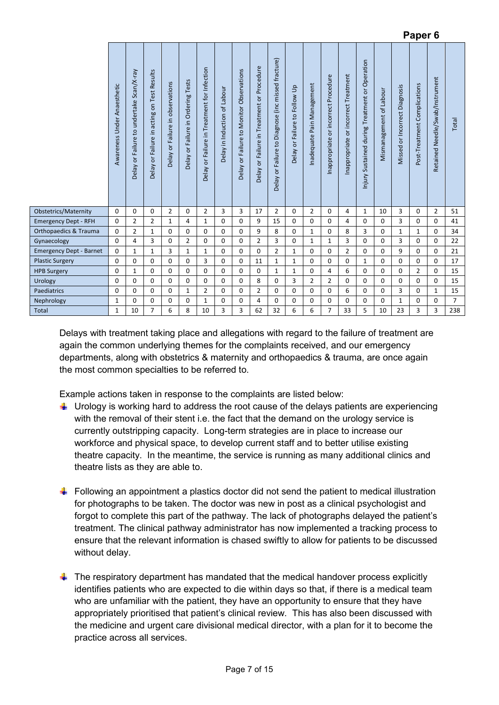|                                |                             | $\blacksquare$                                 |                                               |                                                         |                                                              |                                             |                              |                                          |                                               |                                                    |                                  |                            |                                         |                                      |                                                |                         |                               |                              |                                 |                |
|--------------------------------|-----------------------------|------------------------------------------------|-----------------------------------------------|---------------------------------------------------------|--------------------------------------------------------------|---------------------------------------------|------------------------------|------------------------------------------|-----------------------------------------------|----------------------------------------------------|----------------------------------|----------------------------|-----------------------------------------|--------------------------------------|------------------------------------------------|-------------------------|-------------------------------|------------------------------|---------------------------------|----------------|
|                                | Awareness Under Anaesthetic | Scan/X-ray<br>undertake<br>Delay or Failure to | on Test Results<br>Delay or Failure in acting | Failure in observations<br>$\overline{\sigma}$<br>Delay | <b>Ordering Tests</b><br>$\equiv$<br><b>Delay or Failure</b> | Delay or Failure in Treatment for Infection | Delay in Induction of Labour | Delay or Failure to Monitor Observations | or Failure in Treatment or Procedure<br>Delay | Delay or Failure to Diagnose (inc missed fracture) | or Failure to Follow Up<br>Delay | Inadequate Pain Management | or incorrect Procedure<br>Inappropriate | Inappropriate or incorrect Treatment | Injury Sustained during Treatment or Operation | Mismanagement of Labour | Missed or Incorrect Diagnosis | Post-Treatment Complications | Retained Needle/Swab/Instrument | Total          |
| Obstetrics/Maternity           | $\mathbf 0$                 | $\mathbf{0}$                                   | 0                                             | $\overline{2}$                                          | 0                                                            | $\overline{2}$                              | 3                            | 3                                        | 17                                            | $\overline{2}$                                     | $\mathbf 0$                      | $\overline{2}$             | 0                                       | 4                                    | 1                                              | 10                      | 3                             | $\mathbf 0$                  | $\overline{2}$                  | 51             |
| <b>Emergency Dept - RFH</b>    | $\mathbf 0$                 | $\overline{2}$                                 | $\overline{2}$                                | $\mathbf{1}$                                            | 4                                                            | $\mathbf{1}$                                | 0                            | $\mathbf 0$                              | 9                                             | 15                                                 | $\mathbf 0$                      | 0                          | $\Omega$                                | 4                                    | $\mathbf 0$                                    | $\mathbf 0$             | 3                             | $\mathbf{0}$                 | 0                               | 41             |
| Orthopaedics & Trauma          | $\mathbf 0$                 | $\overline{2}$                                 | $\mathbf{1}$                                  | $\mathbf 0$                                             | 0                                                            | 0                                           | 0                            | $\mathbf 0$                              | 9                                             | 8                                                  | 0                                | $\mathbf{1}$               | 0                                       | 8                                    | 3                                              | $\mathbf 0$             | 1                             | 1                            | 0                               | 34             |
| Gynaecology                    | $\mathbf 0$                 | 4                                              | 3                                             | $\mathbf 0$                                             | $\overline{2}$                                               | 0                                           | 0                            | $\mathbf 0$                              | $\overline{2}$                                | 3                                                  | 0                                | $\mathbf{1}$               | 1                                       | 3                                    | $\mathbf 0$                                    | $\mathbf 0$             | 3                             | $\Omega$                     | 0                               | 22             |
| <b>Emergency Dept - Barnet</b> | $\mathbf 0$                 | $\mathbf{1}$                                   | $\mathbf{1}$                                  | 3                                                       | $\mathbf{1}$                                                 | $\mathbf{1}$                                | 0                            | $\Omega$                                 | $\Omega$                                      | $\overline{2}$                                     | $\mathbf{1}$                     | 0                          | $\Omega$                                | $\overline{2}$                       | $\Omega$                                       | $\mathbf 0$             | 9                             | $\Omega$                     | 0                               | 21             |
| <b>Plastic Surgery</b>         | $\mathbf 0$                 | $\mathbf 0$                                    | $\mathbf 0$                                   | $\mathbf 0$                                             | $\mathbf 0$                                                  | 3                                           | 0                            | $\mathbf 0$                              | 11                                            | $\mathbf{1}$                                       | $\mathbf{1}$                     | 0                          | 0                                       | $\mathbf 0$                          | 1                                              | $\mathbf 0$             | $\mathbf 0$                   | $\mathbf{0}$                 | $\mathbf 0$                     | 17             |
| <b>HPB Surgery</b>             | $\mathbf 0$                 | 1                                              | 0                                             | $\Omega$                                                | $\mathbf 0$                                                  | $\mathbf 0$                                 | $\Omega$                     | $\mathbf 0$                              | $\Omega$                                      | $\mathbf{1}$                                       | 1                                | 0                          | 4                                       | 6                                    | $\Omega$                                       | $\mathbf 0$             | $\Omega$                      | $\overline{2}$               | 0                               | 15             |
| Urology                        | $\Omega$                    | $\Omega$                                       | $\Omega$                                      | $\Omega$                                                | $\Omega$                                                     | $\Omega$                                    | 0                            | $\mathbf 0$                              | 8                                             | $\mathbf 0$                                        | 3                                | $\overline{2}$             | $\overline{2}$                          | $\Omega$                             | $\Omega$                                       | $\mathbf 0$             | $\Omega$                      | $\Omega$                     | $\Omega$                        | 15             |
| Paediatrics                    | $\mathbf 0$                 | $\mathbf{0}$                                   | $\mathbf 0$                                   | $\mathbf 0$                                             | $\mathbf{1}$                                                 | $\overline{2}$                              | 0                            | $\mathbf 0$                              | $\overline{2}$                                | 0                                                  | $\mathbf 0$                      | $\mathbf 0$                | 0                                       | 6                                    | $\mathbf 0$                                    | 0                       | 3                             | $\mathbf 0$                  | $\mathbf{1}$                    | 15             |
| Nephrology                     | $\mathbf{1}$                | $\mathbf 0$                                    | 0                                             | $\mathbf 0$                                             | $\mathbf 0$                                                  | $\mathbf{1}$                                | 0                            | $\mathbf 0$                              | 4                                             | $\mathbf 0$                                        | $\mathbf 0$                      | $\mathbf 0$                | $\mathbf 0$                             | $\mathbf 0$                          | $\mathbf 0$                                    | $\mathbf 0$             | $\mathbf{1}$                  | $\mathbf{0}$                 | 0                               | $\overline{7}$ |
| Total                          | $\mathbf{1}$                | 10                                             | $\overline{7}$                                | 6                                                       | 8                                                            | 10                                          | 3                            | 3                                        | 62                                            | 32                                                 | 6                                | 6                          | $\overline{7}$                          | 33                                   | 5                                              | 10                      | 23                            | $\overline{3}$               | 3                               | 238            |

**Paper 6** 

Delays with treatment taking place and allegations with regard to the failure of treatment are again the common underlying themes for the complaints received, and our emergency departments, along with obstetrics & maternity and orthopaedics & trauma, are once again the most common specialties to be referred to.

Example actions taken in response to the complaints are listed below:

- $\downarrow$  Urology is working hard to address the root cause of the delays patients are experiencing with the removal of their stent i.e. the fact that the demand on the urology service is currently outstripping capacity. Long-term strategies are in place to increase our workforce and physical space, to develop current staff and to better utilise existing theatre capacity. In the meantime, the service is running as many additional clinics and theatre lists as they are able to.
- $\ddot{\phantom{1}}$  Following an appointment a plastics doctor did not send the patient to medical illustration for photographs to be taken. The doctor was new in post as a clinical psychologist and forgot to complete this part of the pathway. The lack of photographs delayed the patient's treatment. The clinical pathway administrator has now implemented a tracking process to ensure that the relevant information is chased swiftly to allow for patients to be discussed without delay.
- $\ddot{\phantom{1}}$  The respiratory department has mandated that the medical handover process explicitly identifies patients who are expected to die within days so that, if there is a medical team who are unfamiliar with the patient, they have an opportunity to ensure that they have appropriately prioritised that patient's clinical review. This has also been discussed with the medicine and urgent care divisional medical director, with a plan for it to become the practice across all services.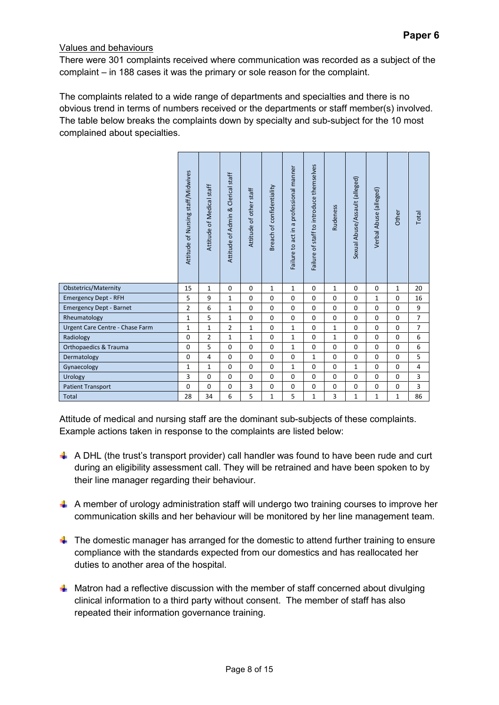### Values and behaviours

There were 301 complaints received where communication was recorded as a subject of the complaint – in 188 cases it was the primary or sole reason for the complaint.

The complaints related to a wide range of departments and specialties and there is no obvious trend in terms of numbers received or the departments or staff member(s) involved. The table below breaks the complaints down by specialty and sub-subject for the 10 most complained about specialties.

|                                  | Attitude of Nursing staff/Midwives | Attitude of Medical staff | Attitude of Admin & Clerical staff | Attitude of other staff | of confidentiality<br><b>Breach</b> | professional manner<br>$\sigma$<br>$\mathrel{\mathop:}=$<br>acti<br>Failure to | staff to introduce themselves<br>$\mathfrak{b}$<br>Failure | Rudeness     | Sexual Abuse/Assault (alleged) | Verbal Abuse (alleged) | Other        | Total          |
|----------------------------------|------------------------------------|---------------------------|------------------------------------|-------------------------|-------------------------------------|--------------------------------------------------------------------------------|------------------------------------------------------------|--------------|--------------------------------|------------------------|--------------|----------------|
| <b>Obstetrics/Maternity</b>      | 15                                 | $\mathbf{1}$              | $\mathbf 0$                        | $\mathbf 0$             | $\mathbf{1}$                        | $\mathbf{1}$                                                                   | $\mathbf 0$                                                | $\mathbf{1}$ | $\mathbf 0$                    | $\mathbf 0$            | $\mathbf{1}$ | 20             |
| <b>Emergency Dept - RFH</b>      | 5                                  | 9                         | $\mathbf{1}$                       | 0                       | $\mathbf 0$                         | $\Omega$                                                                       | $\Omega$                                                   | $\Omega$     | $\Omega$                       | 1                      | 0            | 16             |
| <b>Emergency Dept - Barnet</b>   | $\overline{2}$                     | 6                         | $\mathbf 1$                        | $\mathbf 0$             | $\Omega$                            | $\Omega$                                                                       | $\Omega$                                                   | $\Omega$     | $\Omega$                       | $\mathbf 0$            | $\mathbf 0$  | 9              |
| Rheumatology                     | $\mathbf{1}$                       | 5                         | $\mathbf{1}$                       | $\mathbf 0$             | $\Omega$                            | $\mathbf 0$                                                                    | $\Omega$                                                   | $\Omega$     | $\Omega$                       | 0                      | $\mathbf 0$  | $\overline{7}$ |
| Urgent Care Centre - Chase Farm  | $\mathbf{1}$                       | $\mathbf{1}$              | $\overline{2}$                     | 1                       | $\mathbf 0$                         | $\mathbf{1}$                                                                   | $\Omega$                                                   | $\mathbf{1}$ | $\Omega$                       | 0                      | $\mathbf 0$  | $\overline{7}$ |
| Radiology                        | 0                                  | $\overline{2}$            | $\mathbf{1}$                       | $\mathbf{1}$            | $\Omega$                            | $\mathbf{1}$                                                                   | $\Omega$                                                   | $\mathbf{1}$ | $\Omega$                       | 0                      | $\mathbf 0$  | 6              |
| <b>Orthopaedics &amp; Trauma</b> | 0                                  | 5                         | 0                                  | $\mathbf 0$             | $\mathbf 0$                         | $\mathbf{1}$                                                                   | $\mathbf 0$                                                | $\mathbf 0$  | $\mathbf 0$                    | 0                      | 0            | 6              |
| Dermatology                      | 0                                  | 4                         | $\mathbf 0$                        | $\mathbf 0$             | $\mathbf 0$                         | $\Omega$                                                                       | $\mathbf{1}$                                               | $\Omega$     | $\mathbf 0$                    | 0                      | $\mathbf 0$  | 5              |
| Gynaecology                      | $\mathbf{1}$                       | $\mathbf{1}$              | 0                                  | $\mathbf 0$             | $\mathbf 0$                         | $\mathbf{1}$                                                                   | $\mathbf 0$                                                | $\mathbf 0$  | $\mathbf{1}$                   | 0                      | 0            | 4              |
| Urology                          | 3                                  | 0                         | 0                                  | $\mathbf 0$             | $\mathbf 0$                         | $\mathbf 0$                                                                    | $\mathbf 0$                                                | $\mathbf 0$  | $\mathbf 0$                    | 0                      | 0            | 3              |
| <b>Patient Transport</b>         | 0                                  | 0                         | 0                                  | 3                       | $\mathbf 0$                         | $\mathbf 0$                                                                    | $\mathbf 0$                                                | $\mathbf 0$  | $\mathbf 0$                    | 0                      | 0            | 3              |
| <b>Total</b>                     | 28                                 | 34                        | 6                                  | 5                       | 1                                   | 5                                                                              | 1                                                          | 3            | $\mathbf{1}$                   | $\mathbf{1}$           | 1            | 86             |

Attitude of medical and nursing staff are the dominant sub-subjects of these complaints. Example actions taken in response to the complaints are listed below:

- $\downarrow$  A DHL (the trust's transport provider) call handler was found to have been rude and curt during an eligibility assessment call. They will be retrained and have been spoken to by their line manager regarding their behaviour.
- $\uparrow$  A member of urology administration staff will undergo two training courses to improve her communication skills and her behaviour will be monitored by her line management team.
- $\blacksquare$  The domestic manager has arranged for the domestic to attend further training to ensure compliance with the standards expected from our domestics and has reallocated her duties to another area of the hospital.
- $\downarrow$  Matron had a reflective discussion with the member of staff concerned about divulging clinical information to a third party without consent. The member of staff has also repeated their information governance training.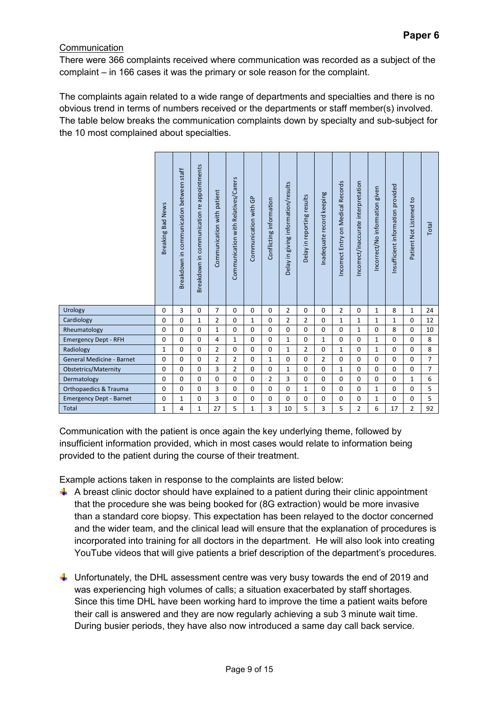# **Communication**

There were 366 complaints received where communication was recorded as a subject of the complaint – in 166 cases it was the primary or sole reason for the complaint.

The complaints again related to a wide range of departments and specialties and there is no obvious trend in terms of numbers received or the departments or staff member(s) involved. The table below breaks the communication complaints down by specialty and sub-subject for the 10 most complained about specialties.

|                                  | <b>Bad News</b><br><b>Breaking</b> | Breakdown in communication between staff | appointments<br>Breakdown in communication re | Communication with patient | Communication with Relatives/Carers | Communication with GP | Conflicting information | Delay in giving information/results | Delay in reporting results | Inadequate record keeping | Incorrect Entry on Medical Records | Incorrect/inaccurate interpretation | Incorrect/No information given | Insufficient information provided | Patient Not Listened to | Total          |
|----------------------------------|------------------------------------|------------------------------------------|-----------------------------------------------|----------------------------|-------------------------------------|-----------------------|-------------------------|-------------------------------------|----------------------------|---------------------------|------------------------------------|-------------------------------------|--------------------------------|-----------------------------------|-------------------------|----------------|
| Urology                          | $\mathbf 0$                        | 3                                        | $\mathbf 0$                                   | 7                          | $\mathbf 0$                         | $\mathbf 0$           | $\mathbf 0$             | 2                                   | $\mathbf 0$                | $\mathbf 0$               | 2                                  | $\mathbf 0$                         | 1                              | 8                                 | 1                       | 24             |
| Cardiology                       | $\Omega$                           | $\Omega$                                 | $\mathbf{1}$                                  | $\mathbf 2$                | $\Omega$                            | $\mathbf{1}$          | $\Omega$                | 2                                   | $\overline{2}$             | $\Omega$                  | 1                                  | $\mathbf 1$                         | 1                              | 1                                 | $\Omega$                | 12             |
| Rheumatology                     | $\mathbf 0$                        | $\mathbf 0$                              | $\mathbf 0$                                   | $\mathbf{1}$               | $\mathbf 0$                         | $\mathbf 0$           | $\mathbf 0$             | 0                                   | $\mathbf 0$                | $\mathbf 0$               | $\mathbf 0$                        | 1                                   | $\mathbf 0$                    | 8                                 | $\mathbf 0$             | 10             |
| <b>Emergency Dept - RFH</b>      | $\mathbf 0$                        | $\Omega$                                 | $\mathbf 0$                                   | 4                          | $\mathbf{1}$                        | $\Omega$              | $\Omega$                | $\mathbf{1}$                        | $\Omega$                   | $\mathbf{1}$              | $\mathbf 0$                        | $\Omega$                            | $\mathbf{1}$                   | $\Omega$                          | $\Omega$                | 8              |
| Radiology                        | $\mathbf{1}$                       | 0                                        | 0                                             | $\overline{2}$             | $\mathbf 0$                         | $\mathbf 0$           | 0                       | 1                                   | 2                          | $\mathbf 0$               | 1                                  | $\mathbf 0$                         | 1                              | 0                                 | $\mathbf 0$             | 8              |
| <b>General Medicine - Barnet</b> | $\mathbf 0$                        | 0                                        | 0                                             | $\overline{2}$             | $\overline{2}$                      | $\Omega$              | $\mathbf{1}$            | $\mathbf 0$                         | $\Omega$                   | $\overline{2}$            | $\mathbf 0$                        | 0                                   | $\mathbf 0$                    | $\Omega$                          | $\Omega$                | $\overline{7}$ |
| <b>Obstetrics/Maternity</b>      | $\mathbf 0$                        | $\mathbf 0$                              | $\mathbf 0$                                   | 3                          | $\overline{2}$                      | $\Omega$              | $\mathbf 0$             | $\mathbf{1}$                        | $\Omega$                   | $\Omega$                  | $\mathbf{1}$                       | $\mathbf 0$                         | $\Omega$                       | $\Omega$                          | $\mathbf 0$             | $\overline{7}$ |
| Dermatology                      | $\Omega$                           | $\Omega$                                 | $\mathbf 0$                                   | $\mathbf 0$                | $\Omega$                            | $\Omega$              | $\overline{2}$          | 3                                   | $\Omega$                   | $\Omega$                  | $\mathbf 0$                        | $\Omega$                            | $\Omega$                       | $\Omega$                          | $\mathbf{1}$            | 6              |
| Orthopaedics & Trauma            | $\mathbf 0$                        | 0                                        | $\mathbf 0$                                   | 3                          | $\mathbf 0$                         | $\mathbf 0$           | $\mathbf 0$             | $\mathbf 0$                         | 1                          | $\Omega$                  | $\mathbf 0$                        | 0                                   | 1                              | $\mathbf 0$                       | $\mathbf 0$             | 5              |
| <b>Emergency Dept - Barnet</b>   | $\mathbf 0$                        | 1                                        | $\mathbf 0$                                   | 3                          | $\mathbf 0$                         | $\mathbf 0$           | $\mathbf 0$             | 0                                   | $\mathbf 0$                | $\Omega$                  | $\mathbf 0$                        | 0                                   | 1                              | $\mathbf 0$                       | 0                       | 5              |
| Total                            | 1                                  | 4                                        | 1                                             | 27                         | 5                                   | $\mathbf{1}$          | 3                       | 10                                  | 5                          | 3                         | 5                                  | $\overline{2}$                      | 6                              | 17                                | 2                       | 92             |

Communication with the patient is once again the key underlying theme, followed by insufficient information provided, which in most cases would relate to information being provided to the patient during the course of their treatment.

Example actions taken in response to the complaints are listed below:

- $\uparrow$  A breast clinic doctor should have explained to a patient during their clinic appointment that the procedure she was being booked for (8G extraction) would be more invasive than a standard core biopsy. This expectation has been relayed to the doctor concerned and the wider team, and the clinical lead will ensure that the explanation of procedures is incorporated into training for all doctors in the department. He will also look into creating YouTube videos that will give patients a brief description of the department's procedures.
- Unfortunately, the DHL assessment centre was very busy towards the end of 2019 and was experiencing high volumes of calls; a situation exacerbated by staff shortages. Since this time DHL have been working hard to improve the time a patient waits before their call is answered and they are now regularly achieving a sub 3 minute wait time. During busier periods, they have also now introduced a same day call back service.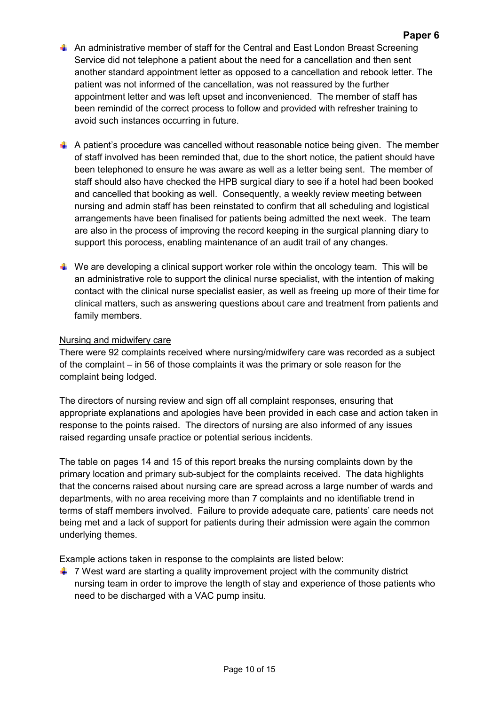- $\overline{\phantom{a}}$  An administrative member of staff for the Central and East London Breast Screening Service did not telephone a patient about the need for a cancellation and then sent another standard appointment letter as opposed to a cancellation and rebook letter. The patient was not informed of the cancellation, was not reassured by the further appointment letter and was left upset and inconvenienced. The member of staff has been remindid of the correct process to follow and provided with refresher training to avoid such instances occurring in future.
- $\ddot{\bullet}$  A patient's procedure was cancelled without reasonable notice being given. The member of staff involved has been reminded that, due to the short notice, the patient should have been telephoned to ensure he was aware as well as a letter being sent. The member of staff should also have checked the HPB surgical diary to see if a hotel had been booked and cancelled that booking as well. Consequently, a weekly review meeting between nursing and admin staff has been reinstated to confirm that all scheduling and logistical arrangements have been finalised for patients being admitted the next week. The team are also in the process of improving the record keeping in the surgical planning diary to support this porocess, enabling maintenance of an audit trail of any changes.
- $\ddot{\phantom{1}}$  We are developing a clinical support worker role within the oncology team. This will be an administrative role to support the clinical nurse specialist, with the intention of making contact with the clinical nurse specialist easier, as well as freeing up more of their time for clinical matters, such as answering questions about care and treatment from patients and family members.

#### Nursing and midwifery care

There were 92 complaints received where nursing/midwifery care was recorded as a subject of the complaint – in 56 of those complaints it was the primary or sole reason for the complaint being lodged.

The directors of nursing review and sign off all complaint responses, ensuring that appropriate explanations and apologies have been provided in each case and action taken in response to the points raised. The directors of nursing are also informed of any issues raised regarding unsafe practice or potential serious incidents.

The table on pages 14 and 15 of this report breaks the nursing complaints down by the primary location and primary sub-subject for the complaints received. The data highlights that the concerns raised about nursing care are spread across a large number of wards and departments, with no area receiving more than 7 complaints and no identifiable trend in terms of staff members involved. Failure to provide adequate care, patients' care needs not being met and a lack of support for patients during their admission were again the common underlying themes.

Example actions taken in response to the complaints are listed below:

 $\ddot{\phantom{1}}$  7 West ward are starting a quality improvement project with the community district nursing team in order to improve the length of stay and experience of those patients who need to be discharged with a VAC pump insitu.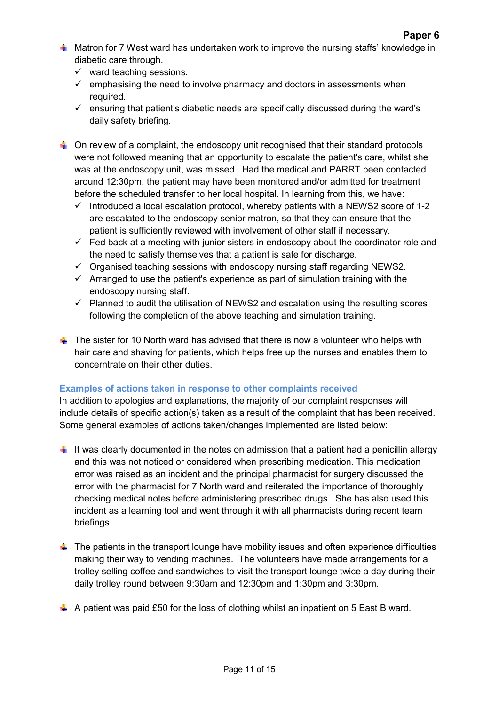- $\downarrow$  Matron for 7 West ward has undertaken work to improve the nursing staffs' knowledge in diabetic care through.
	- $\checkmark$  ward teaching sessions.
	- $\checkmark$  emphasising the need to involve pharmacy and doctors in assessments when required.
	- $\checkmark$  ensuring that patient's diabetic needs are specifically discussed during the ward's daily safety briefing.
- $\ddot{\bullet}$  On review of a complaint, the endoscopy unit recognised that their standard protocols were not followed meaning that an opportunity to escalate the patient's care, whilst she was at the endoscopy unit, was missed. Had the medical and PARRT been contacted around 12:30pm, the patient may have been monitored and/or admitted for treatment before the scheduled transfer to her local hospital. In learning from this, we have:
	- $\checkmark$  Introduced a local escalation protocol, whereby patients with a NEWS2 score of 1-2 are escalated to the endoscopy senior matron, so that they can ensure that the patient is sufficiently reviewed with involvement of other staff if necessary.
	- $\checkmark$  Fed back at a meeting with junior sisters in endoscopy about the coordinator role and the need to satisfy themselves that a patient is safe for discharge.
	- $\checkmark$  Organised teaching sessions with endoscopy nursing staff regarding NEWS2.
	- $\checkmark$  Arranged to use the patient's experience as part of simulation training with the endoscopy nursing staff.
	- $\checkmark$  Planned to audit the utilisation of NEWS2 and escalation using the resulting scores following the completion of the above teaching and simulation training.
- $\downarrow$  The sister for 10 North ward has advised that there is now a volunteer who helps with hair care and shaving for patients, which helps free up the nurses and enables them to concerntrate on their other duties.

# **Examples of actions taken in response to other complaints received**

In addition to apologies and explanations, the majority of our complaint responses will include details of specific action(s) taken as a result of the complaint that has been received. Some general examples of actions taken/changes implemented are listed below:

- $\downarrow$  It was clearly documented in the notes on admission that a patient had a penicillin allergy and this was not noticed or considered when prescribing medication. This medication error was raised as an incident and the principal pharmacist for surgery discussed the error with the pharmacist for 7 North ward and reiterated the importance of thoroughly checking medical notes before administering prescribed drugs. She has also used this incident as a learning tool and went through it with all pharmacists during recent team briefings.
- $\ddot{\phantom{1}}$  The patients in the transport lounge have mobility issues and often experience difficulties making their way to vending machines. The volunteers have made arrangements for a trolley selling coffee and sandwiches to visit the transport lounge twice a day during their daily trolley round between 9:30am and 12:30pm and 1:30pm and 3:30pm.
- $\blacktriangle$  A patient was paid £50 for the loss of clothing whilst an inpatient on 5 East B ward.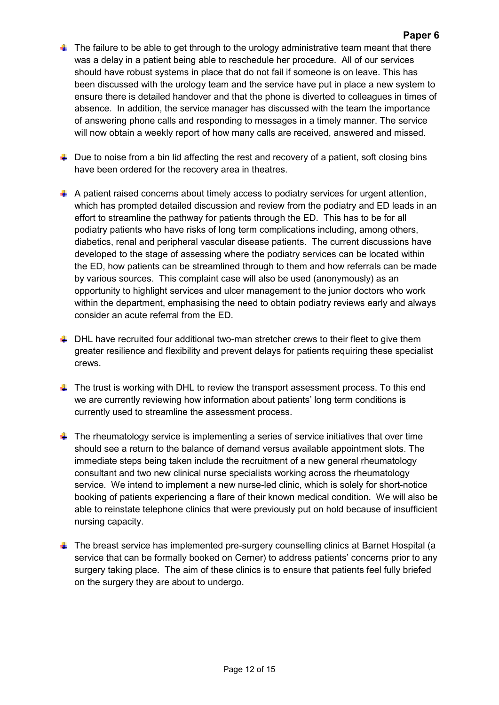- $\ddot{\phantom{1}}$  The failure to be able to get through to the urology administrative team meant that there was a delay in a patient being able to reschedule her procedure. All of our services should have robust systems in place that do not fail if someone is on leave. This has been discussed with the urology team and the service have put in place a new system to ensure there is detailed handover and that the phone is diverted to colleagues in times of absence. In addition, the service manager has discussed with the team the importance of answering phone calls and responding to messages in a timely manner. The service will now obtain a weekly report of how many calls are received, answered and missed.
- $\ddot{\phantom{1}}$  Due to noise from a bin lid affecting the rest and recovery of a patient, soft closing bins have been ordered for the recovery area in theatres.
- $\downarrow$  A patient raised concerns about timely access to podiatry services for urgent attention, which has prompted detailed discussion and review from the podiatry and ED leads in an effort to streamline the pathway for patients through the ED. This has to be for all podiatry patients who have risks of long term complications including, among others, diabetics, renal and peripheral vascular disease patients. The current discussions have developed to the stage of assessing where the podiatry services can be located within the ED, how patients can be streamlined through to them and how referrals can be made by various sources. This complaint case will also be used (anonymously) as an opportunity to highlight services and ulcer management to the junior doctors who work within the department, emphasising the need to obtain podiatry reviews early and always consider an acute referral from the ED.
- $\downarrow$  DHL have recruited four additional two-man stretcher crews to their fleet to give them greater resilience and flexibility and prevent delays for patients requiring these specialist crews.
- $\pm$  The trust is working with DHL to review the transport assessment process. To this end we are currently reviewing how information about patients' long term conditions is currently used to streamline the assessment process.
- $\ddot{\bullet}$  The rheumatology service is implementing a series of service initiatives that over time should see a return to the balance of demand versus available appointment slots. The immediate steps being taken include the recruitment of a new general rheumatology consultant and two new clinical nurse specialists working across the rheumatology service. We intend to implement a new nurse-led clinic, which is solely for short-notice booking of patients experiencing a flare of their known medical condition. We will also be able to reinstate telephone clinics that were previously put on hold because of insufficient nursing capacity.
- $\ddot{\phantom{1}}$  The breast service has implemented pre-surgery counselling clinics at Barnet Hospital (a service that can be formally booked on Cerner) to address patients' concerns prior to any surgery taking place. The aim of these clinics is to ensure that patients feel fully briefed on the surgery they are about to undergo.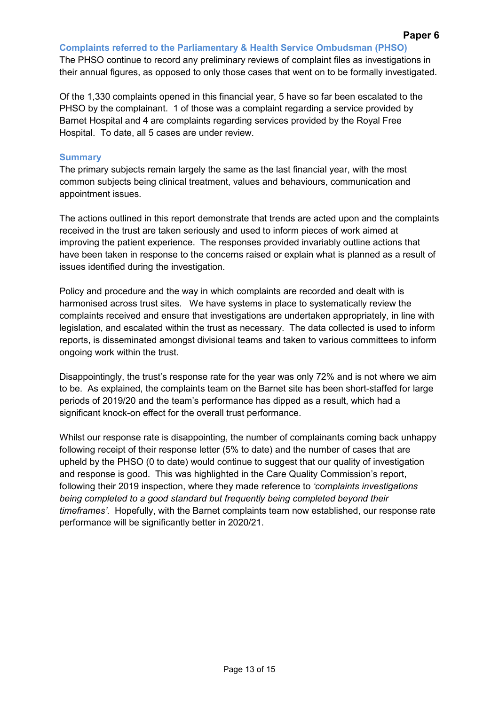**Complaints referred to the Parliamentary & Health Service Ombudsman (PHSO)**

The PHSO continue to record any preliminary reviews of complaint files as investigations in their annual figures, as opposed to only those cases that went on to be formally investigated.

Of the 1,330 complaints opened in this financial year, 5 have so far been escalated to the PHSO by the complainant. 1 of those was a complaint regarding a service provided by Barnet Hospital and 4 are complaints regarding services provided by the Royal Free Hospital. To date, all 5 cases are under review.

### **Summary**

The primary subjects remain largely the same as the last financial year, with the most common subjects being clinical treatment, values and behaviours, communication and appointment issues.

The actions outlined in this report demonstrate that trends are acted upon and the complaints received in the trust are taken seriously and used to inform pieces of work aimed at improving the patient experience. The responses provided invariably outline actions that have been taken in response to the concerns raised or explain what is planned as a result of issues identified during the investigation.

Policy and procedure and the way in which complaints are recorded and dealt with is harmonised across trust sites. We have systems in place to systematically review the complaints received and ensure that investigations are undertaken appropriately, in line with legislation, and escalated within the trust as necessary. The data collected is used to inform reports, is disseminated amongst divisional teams and taken to various committees to inform ongoing work within the trust.

Disappointingly, the trust's response rate for the year was only 72% and is not where we aim to be. As explained, the complaints team on the Barnet site has been short-staffed for large periods of 2019/20 and the team's performance has dipped as a result, which had a significant knock-on effect for the overall trust performance.

Whilst our response rate is disappointing, the number of complainants coming back unhappy following receipt of their response letter (5% to date) and the number of cases that are upheld by the PHSO (0 to date) would continue to suggest that our quality of investigation and response is good. This was highlighted in the Care Quality Commission's report, following their 2019 inspection, where they made reference to *'complaints investigations being completed to a good standard but frequently being completed beyond their timeframes'*. Hopefully, with the Barnet complaints team now established, our response rate performance will be significantly better in 2020/21.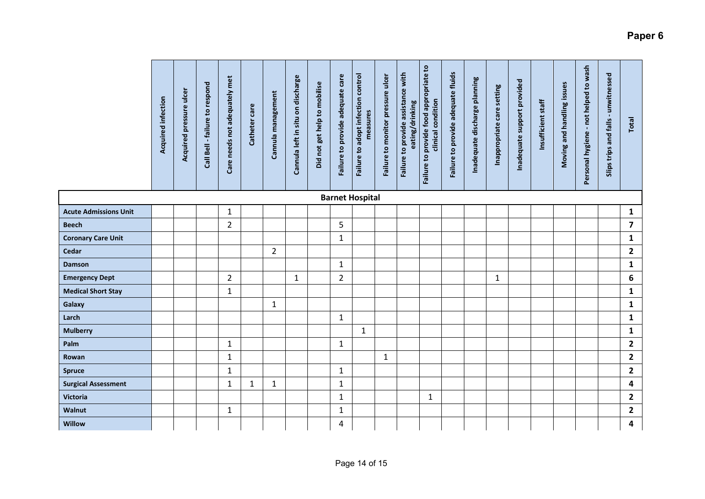|                              | Acquired infection | Acquired pressure ulcer | Call Bell - failure to respond | Care needs not adequately met | Catheter care | Cannula management | Cannula left in situ on discharge | Did not get help to mobilise | Failure to provide adequate care | Failure to adopt infection control<br>measures | Failure to monitor pressure ulcer | Failure to provide assistance with<br>eating/drinking | Failure to provide food appropriate to<br>clinical condition | Failure to provide adequate fluids | Inadequate discharge planning | Inappropriate care setting | Inadequate support provided | Insufficient staff | Moving and handling issues | Personal hygiene - not helped to wash | unwitnessed<br>Slips trips and falls - | Total                   |
|------------------------------|--------------------|-------------------------|--------------------------------|-------------------------------|---------------|--------------------|-----------------------------------|------------------------------|----------------------------------|------------------------------------------------|-----------------------------------|-------------------------------------------------------|--------------------------------------------------------------|------------------------------------|-------------------------------|----------------------------|-----------------------------|--------------------|----------------------------|---------------------------------------|----------------------------------------|-------------------------|
|                              |                    |                         |                                |                               |               |                    |                                   |                              |                                  | <b>Barnet Hospital</b>                         |                                   |                                                       |                                                              |                                    |                               |                            |                             |                    |                            |                                       |                                        |                         |
| <b>Acute Admissions Unit</b> |                    |                         |                                | $\mathbf{1}$                  |               |                    |                                   |                              |                                  |                                                |                                   |                                                       |                                                              |                                    |                               |                            |                             |                    |                            |                                       |                                        | $\mathbf{1}$            |
| Beech                        |                    |                         |                                | $\overline{2}$                |               |                    |                                   |                              | 5                                |                                                |                                   |                                                       |                                                              |                                    |                               |                            |                             |                    |                            |                                       |                                        | $\overline{7}$          |
| <b>Coronary Care Unit</b>    |                    |                         |                                |                               |               |                    |                                   |                              | $\mathbf{1}$                     |                                                |                                   |                                                       |                                                              |                                    |                               |                            |                             |                    |                            |                                       |                                        | $\mathbf 1$             |
| Cedar                        |                    |                         |                                |                               |               | $\overline{2}$     |                                   |                              |                                  |                                                |                                   |                                                       |                                                              |                                    |                               |                            |                             |                    |                            |                                       |                                        | $\overline{2}$          |
| <b>Damson</b>                |                    |                         |                                |                               |               |                    |                                   |                              | $\mathbf{1}$                     |                                                |                                   |                                                       |                                                              |                                    |                               |                            |                             |                    |                            |                                       |                                        | $\mathbf 1$             |
| <b>Emergency Dept</b>        |                    |                         |                                | 2                             |               |                    | $\mathbf{1}$                      |                              | $\overline{2}$                   |                                                |                                   |                                                       |                                                              |                                    |                               | 1                          |                             |                    |                            |                                       |                                        | $\boldsymbol{6}$        |
| <b>Medical Short Stay</b>    |                    |                         |                                | $\mathbf{1}$                  |               |                    |                                   |                              |                                  |                                                |                                   |                                                       |                                                              |                                    |                               |                            |                             |                    |                            |                                       |                                        | $\mathbf 1$             |
| Galaxy                       |                    |                         |                                |                               |               | $\mathbf{1}$       |                                   |                              |                                  |                                                |                                   |                                                       |                                                              |                                    |                               |                            |                             |                    |                            |                                       |                                        | $\mathbf 1$             |
| Larch                        |                    |                         |                                |                               |               |                    |                                   |                              | $\mathbf{1}$                     |                                                |                                   |                                                       |                                                              |                                    |                               |                            |                             |                    |                            |                                       |                                        | $\mathbf 1$             |
| <b>Mulberry</b>              |                    |                         |                                |                               |               |                    |                                   |                              |                                  | $\mathbf{1}$                                   |                                   |                                                       |                                                              |                                    |                               |                            |                             |                    |                            |                                       |                                        | $\mathbf{1}$            |
| Palm                         |                    |                         |                                | $\mathbf 1$                   |               |                    |                                   |                              | $\mathbf{1}$                     |                                                |                                   |                                                       |                                                              |                                    |                               |                            |                             |                    |                            |                                       |                                        | $\overline{\mathbf{c}}$ |
| Rowan                        |                    |                         |                                | 1                             |               |                    |                                   |                              |                                  |                                                | $\mathbf{1}$                      |                                                       |                                                              |                                    |                               |                            |                             |                    |                            |                                       |                                        | $\mathbf{2}$            |
| <b>Spruce</b>                |                    |                         |                                | 1                             |               |                    |                                   |                              | $\mathbf{1}$                     |                                                |                                   |                                                       |                                                              |                                    |                               |                            |                             |                    |                            |                                       |                                        | $\mathbf{2}$            |

**Surgical Assessment** 1 1 1 1 **4 Victoria** 1 1 **2 Walnut** 1 1 **2 Willow** 4 **4**